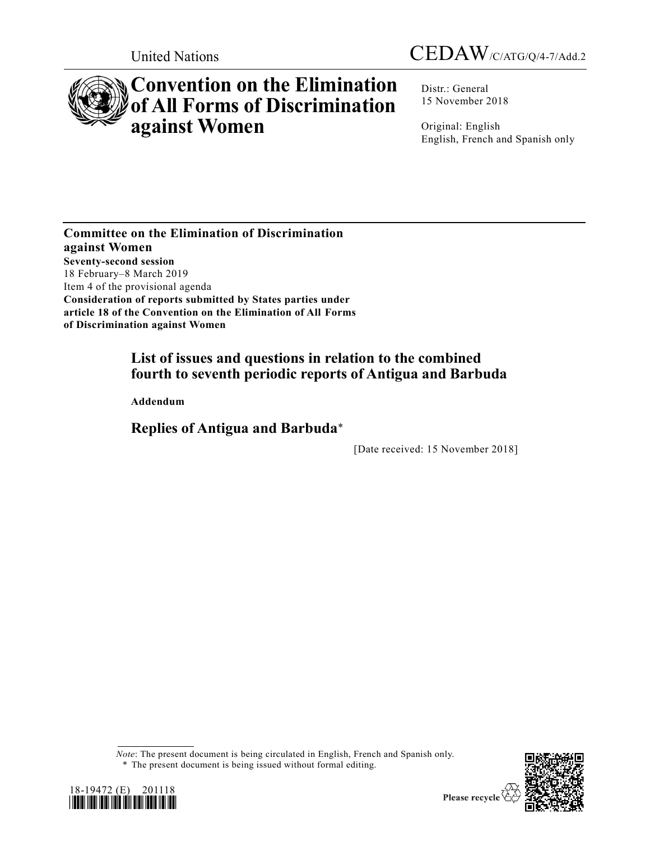



# **Convention on the Elimination of All Forms of Discrimination against Women**

Distr.: General 15 November 2018

Original: English English, French and Spanish only

**Committee on the Elimination of Discrimination against Women Seventy-second session** 18 February–8 March 2019 Item 4 of the provisional agenda **Consideration of reports submitted by States parties under article 18 of the Convention on the Elimination of All Forms of Discrimination against Women**

# **List of issues and questions in relation to the combined fourth to seventh periodic reports of Antigua and Barbuda**

**Addendum**

**Replies of Antigua and Barbuda**\*

[Date received: 15 November 2018]

*Note*: The present document is being circulated in English, French and Spanish only. \* The present document is being issued without formal editing.



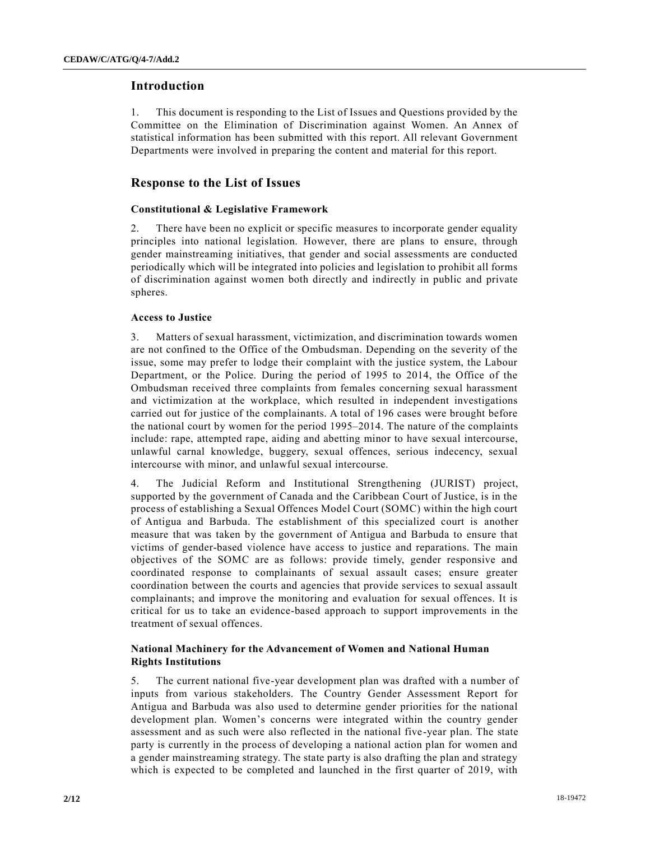# **Introduction**

1. This document is responding to the List of Issues and Questions provided by the Committee on the Elimination of Discrimination against Women. An Annex of statistical information has been submitted with this report. All relevant Government Departments were involved in preparing the content and material for this report.

# **Response to the List of Issues**

#### **Constitutional & Legislative Framework**

2. There have been no explicit or specific measures to incorporate gender equality principles into national legislation. However, there are plans to ensure, through gender mainstreaming initiatives, that gender and social assessments are conducted periodically which will be integrated into policies and legislation to prohibit all forms of discrimination against women both directly and indirectly in public and private spheres.

#### **Access to Justice**

3. Matters of sexual harassment, victimization, and discrimination towards women are not confined to the Office of the Ombudsman. Depending on the severity of the issue, some may prefer to lodge their complaint with the justice system, the Labour Department, or the Police. During the period of 1995 to 2014, the Office of the Ombudsman received three complaints from females concerning sexual harassment and victimization at the workplace, which resulted in independent investigations carried out for justice of the complainants. A total of 196 cases were brought before the national court by women for the period 1995–2014. The nature of the complaints include: rape, attempted rape, aiding and abetting minor to have sexual intercourse, unlawful carnal knowledge, buggery, sexual offences, serious indecency, sexual intercourse with minor, and unlawful sexual intercourse.

4. The Judicial Reform and Institutional Strengthening (JURIST) project, supported by the government of Canada and the Caribbean Court of Justice, is in the process of establishing a Sexual Offences Model Court (SOMC) within the high court of Antigua and Barbuda. The establishment of this specialized court is another measure that was taken by the government of Antigua and Barbuda to ensure that victims of gender-based violence have access to justice and reparations. The main objectives of the SOMC are as follows: provide timely, gender responsive and coordinated response to complainants of sexual assault cases; ensure greater coordination between the courts and agencies that provide services to sexual assault complainants; and improve the monitoring and evaluation for sexual offences. It is critical for us to take an evidence-based approach to support improvements in the treatment of sexual offences.

# **National Machinery for the Advancement of Women and National Human Rights Institutions**

5. The current national five-year development plan was drafted with a number of inputs from various stakeholders. The Country Gender Assessment Report for Antigua and Barbuda was also used to determine gender priorities for the national development plan. Women's concerns were integrated within the country gender assessment and as such were also reflected in the national five-year plan. The state party is currently in the process of developing a national action plan for women and a gender mainstreaming strategy. The state party is also drafting the plan and strategy which is expected to be completed and launched in the first quarter of 2019, with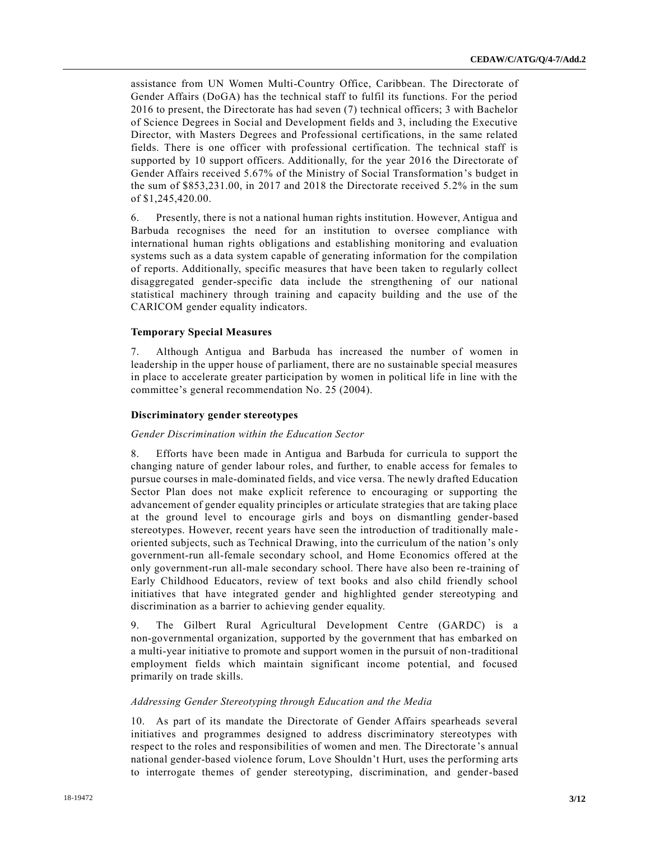assistance from UN Women Multi-Country Office, Caribbean. The Directorate of Gender Affairs (DoGA) has the technical staff to fulfil its functions. For the period 2016 to present, the Directorate has had seven (7) technical officers; 3 with Bachelor of Science Degrees in Social and Development fields and 3, including the Executive Director, with Masters Degrees and Professional certifications, in the same related fields. There is one officer with professional certification. The technical staff is supported by 10 support officers. Additionally, for the year 2016 the Directorate of Gender Affairs received 5.67% of the Ministry of Social Transformation's budget in the sum of \$853,231.00, in 2017 and 2018 the Directorate received 5.2% in the sum of \$1,245,420.00.

6. Presently, there is not a national human rights institution. However, Antigua and Barbuda recognises the need for an institution to oversee compliance with international human rights obligations and establishing monitoring and evaluation systems such as a data system capable of generating information for the compilation of reports. Additionally, specific measures that have been taken to regularly collect disaggregated gender-specific data include the strengthening of our national statistical machinery through training and capacity building and the use of the CARICOM gender equality indicators.

## **Temporary Special Measures**

7. Although Antigua and Barbuda has increased the number of women in leadership in the upper house of parliament, there are no sustainable special measures in place to accelerate greater participation by women in political life in line with the committee's general recommendation No. 25 (2004).

#### **Discriminatory gender stereotypes**

#### *Gender Discrimination within the Education Sector*

8. Efforts have been made in Antigua and Barbuda for curricula to support the changing nature of gender labour roles, and further, to enable access for females to pursue courses in male-dominated fields, and vice versa. The newly drafted Education Sector Plan does not make explicit reference to encouraging or supporting the advancement of gender equality principles or articulate strategies that are taking place at the ground level to encourage girls and boys on dismantling gender-based stereotypes. However, recent years have seen the introduction of traditionally male oriented subjects, such as Technical Drawing, into the curriculum of the nation's only government-run all-female secondary school, and Home Economics offered at the only government-run all-male secondary school. There have also been re-training of Early Childhood Educators, review of text books and also child friendly school initiatives that have integrated gender and highlighted gender stereotyping and discrimination as a barrier to achieving gender equality.

9. The Gilbert Rural Agricultural Development Centre (GARDC) is a non-governmental organization, supported by the government that has embarked on a multi-year initiative to promote and support women in the pursuit of non-traditional employment fields which maintain significant income potential, and focused primarily on trade skills.

#### *Addressing Gender Stereotyping through Education and the Media*

10. As part of its mandate the Directorate of Gender Affairs spearheads several initiatives and programmes designed to address discriminatory stereotypes with respect to the roles and responsibilities of women and men. The Directorate 's annual national gender-based violence forum, Love Shouldn't Hurt, uses the performing arts to interrogate themes of gender stereotyping, discrimination, and gender-based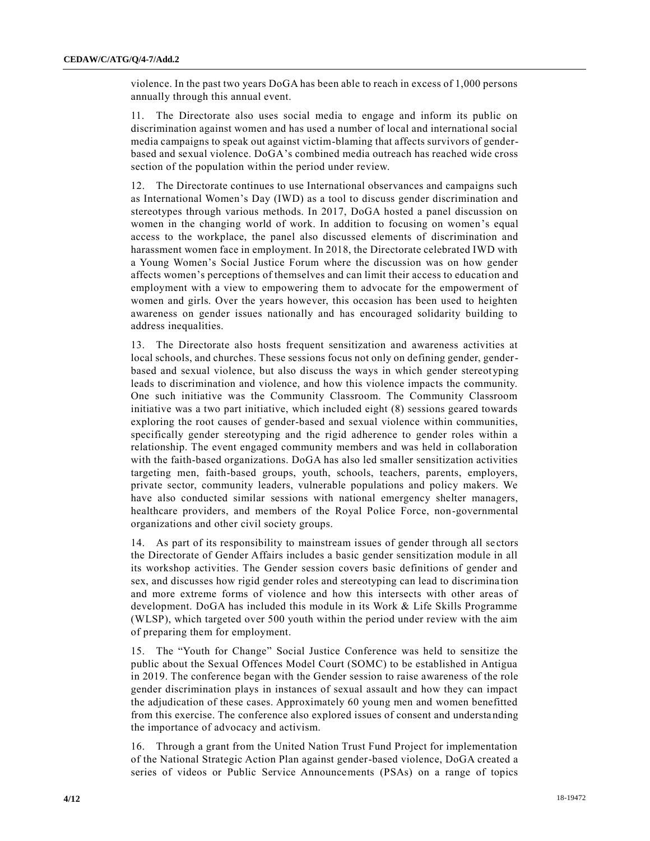violence. In the past two years DoGA has been able to reach in excess of 1,000 persons annually through this annual event.

11. The Directorate also uses social media to engage and inform its public on discrimination against women and has used a number of local and international social media campaigns to speak out against victim-blaming that affects survivors of genderbased and sexual violence. DoGA's combined media outreach has reached wide cross section of the population within the period under review.

12. The Directorate continues to use International observances and campaigns such as International Women's Day (IWD) as a tool to discuss gender discrimination and stereotypes through various methods. In 2017, DoGA hosted a panel discussion on women in the changing world of work. In addition to focusing on women's equal access to the workplace, the panel also discussed elements of discrimination and harassment women face in employment. In 2018, the Directorate celebrated IWD with a Young Women's Social Justice Forum where the discussion was on how gender affects women's perceptions of themselves and can limit their access to education and employment with a view to empowering them to advocate for the empowerment of women and girls. Over the years however, this occasion has been used to heighten awareness on gender issues nationally and has encouraged solidarity building to address inequalities.

13. The Directorate also hosts frequent sensitization and awareness activities at local schools, and churches. These sessions focus not only on defining gender, genderbased and sexual violence, but also discuss the ways in which gender stereot yping leads to discrimination and violence, and how this violence impacts the community. One such initiative was the Community Classroom. The Community Classroom initiative was a two part initiative, which included eight (8) sessions geared towards exploring the root causes of gender-based and sexual violence within communities, specifically gender stereotyping and the rigid adherence to gender roles within a relationship. The event engaged community members and was held in collaboration with the faith-based organizations. DoGA has also led smaller sensitization activities targeting men, faith-based groups, youth, schools, teachers, parents, employers, private sector, community leaders, vulnerable populations and policy makers. We have also conducted similar sessions with national emergency shelter managers, healthcare providers, and members of the Royal Police Force, non-governmental organizations and other civil society groups.

14. As part of its responsibility to mainstream issues of gender through all se ctors the Directorate of Gender Affairs includes a basic gender sensitization module in all its workshop activities. The Gender session covers basic definitions of gender and sex, and discusses how rigid gender roles and stereotyping can lead to discrimina tion and more extreme forms of violence and how this intersects with other areas of development. DoGA has included this module in its Work & Life Skills Programme (WLSP), which targeted over 500 youth within the period under review with the aim of preparing them for employment.

15. The "Youth for Change" Social Justice Conference was held to sensitize the public about the Sexual Offences Model Court (SOMC) to be established in Antigua in 2019. The conference began with the Gender session to raise awareness of the role gender discrimination plays in instances of sexual assault and how they can impact the adjudication of these cases. Approximately 60 young men and women benefitted from this exercise. The conference also explored issues of consent and understanding the importance of advocacy and activism.

16. Through a grant from the United Nation Trust Fund Project for implementation of the National Strategic Action Plan against gender-based violence, DoGA created a series of videos or Public Service Announcements (PSAs) on a range of topics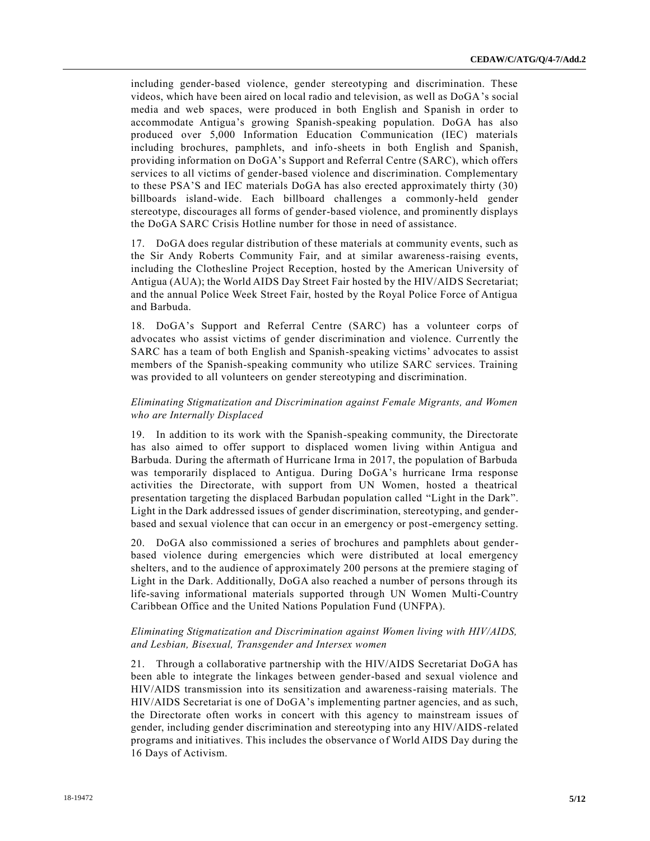including gender-based violence, gender stereotyping and discrimination. These videos, which have been aired on local radio and television, as well as DoGA's social media and web spaces, were produced in both English and Spanish in order to accommodate Antigua's growing Spanish-speaking population. DoGA has also produced over 5,000 Information Education Communication (IEC) materials including brochures, pamphlets, and info-sheets in both English and Spanish, providing information on DoGA's Support and Referral Centre (SARC), which offers services to all victims of gender-based violence and discrimination. Complementary to these PSA'S and IEC materials DoGA has also erected approximately thirty (30) billboards island-wide. Each billboard challenges a commonly-held gender stereotype, discourages all forms of gender-based violence, and prominently displays the DoGA SARC Crisis Hotline number for those in need of assistance.

17. DoGA does regular distribution of these materials at community events, such as the Sir Andy Roberts Community Fair, and at similar awareness-raising events, including the Clothesline Project Reception, hosted by the American University of Antigua (AUA); the World AIDS Day Street Fair hosted by the HIV/AIDS Secretariat; and the annual Police Week Street Fair, hosted by the Royal Police Force of Antigua and Barbuda.

18. DoGA's Support and Referral Centre (SARC) has a volunteer corps of advocates who assist victims of gender discrimination and violence. Currently the SARC has a team of both English and Spanish-speaking victims' advocates to assist members of the Spanish-speaking community who utilize SARC services. Training was provided to all volunteers on gender stereotyping and discrimination.

# *Eliminating Stigmatization and Discrimination against Female Migrants, and Women who are Internally Displaced*

19. In addition to its work with the Spanish-speaking community, the Directorate has also aimed to offer support to displaced women living within Antigua and Barbuda. During the aftermath of Hurricane Irma in 2017, the population of Barbuda was temporarily displaced to Antigua. During DoGA's hurricane Irma response activities the Directorate, with support from UN Women, hosted a theatrical presentation targeting the displaced Barbudan population called "Light in the Dark". Light in the Dark addressed issues of gender discrimination, stereotyping, and genderbased and sexual violence that can occur in an emergency or post-emergency setting.

20. DoGA also commissioned a series of brochures and pamphlets about genderbased violence during emergencies which were distributed at local emergency shelters, and to the audience of approximately 200 persons at the premiere staging of Light in the Dark. Additionally, DoGA also reached a number of persons through its life-saving informational materials supported through UN Women Multi-Country Caribbean Office and the United Nations Population Fund (UNFPA).

# *Eliminating Stigmatization and Discrimination against Women living with HIV/AIDS, and Lesbian, Bisexual, Transgender and Intersex women*

21. Through a collaborative partnership with the HIV/AIDS Secretariat DoGA has been able to integrate the linkages between gender-based and sexual violence and HIV/AIDS transmission into its sensitization and awareness-raising materials. The HIV/AIDS Secretariat is one of DoGA's implementing partner agencies, and as such, the Directorate often works in concert with this agency to mainstream issues of gender, including gender discrimination and stereotyping into any HIV/AIDS-related programs and initiatives. This includes the observance of World AIDS Day during the 16 Days of Activism.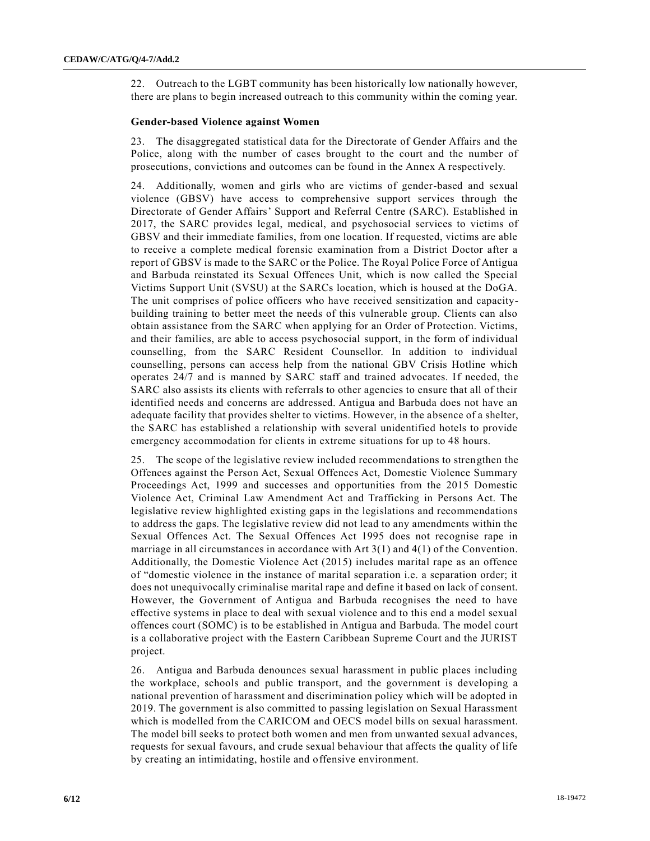22. Outreach to the LGBT community has been historically low nationally however, there are plans to begin increased outreach to this community within the coming year.

# **Gender-based Violence against Women**

23. The disaggregated statistical data for the Directorate of Gender Affairs and the Police, along with the number of cases brought to the court and the number of prosecutions, convictions and outcomes can be found in the Annex A respectively.

24. Additionally, women and girls who are victims of gender-based and sexual violence (GBSV) have access to comprehensive support services through the Directorate of Gender Affairs' Support and Referral Centre (SARC). Established in 2017, the SARC provides legal, medical, and psychosocial services to victims of GBSV and their immediate families, from one location. If requested, victims are able to receive a complete medical forensic examination from a District Doctor after a report of GBSV is made to the SARC or the Police. The Royal Police Force of Antigua and Barbuda reinstated its Sexual Offences Unit, which is now called the Special Victims Support Unit (SVSU) at the SARCs location, which is housed at the DoGA. The unit comprises of police officers who have received sensitization and capacitybuilding training to better meet the needs of this vulnerable group. Clients can also obtain assistance from the SARC when applying for an Order of Protection. Victims, and their families, are able to access psychosocial support, in the form of individual counselling, from the SARC Resident Counsellor. In addition to individual counselling, persons can access help from the national GBV Crisis Hotline which operates 24/7 and is manned by SARC staff and trained advocates. If needed, the SARC also assists its clients with referrals to other agencies to ensure that all of their identified needs and concerns are addressed. Antigua and Barbuda does not have an adequate facility that provides shelter to victims. However, in the absence of a shelter, the SARC has established a relationship with several unidentified hotels to provide emergency accommodation for clients in extreme situations for up to 48 hours.

25. The scope of the legislative review included recommendations to strengthen the Offences against the Person Act, Sexual Offences Act, Domestic Violence Summary Proceedings Act, 1999 and successes and opportunities from the 2015 Domestic Violence Act, Criminal Law Amendment Act and Trafficking in Persons Act. The legislative review highlighted existing gaps in the legislations and recommendations to address the gaps. The legislative review did not lead to any amendments within the Sexual Offences Act. The Sexual Offences Act 1995 does not recognise rape in marriage in all circumstances in accordance with Art 3(1) and 4(1) of the Convention. Additionally, the Domestic Violence Act (2015) includes marital rape as an offence of "domestic violence in the instance of marital separation i.e. a separation order; it does not unequivocally criminalise marital rape and define it based on lack of consent. However, the Government of Antigua and Barbuda recognises the need to have effective systems in place to deal with sexual violence and to this end a model sexual offences court (SOMC) is to be established in Antigua and Barbuda. The model court is a collaborative project with the Eastern Caribbean Supreme Court and the JURIST project.

26. Antigua and Barbuda denounces sexual harassment in public places including the workplace, schools and public transport, and the government is developing a national prevention of harassment and discrimination policy which will be adopted in 2019. The government is also committed to passing legislation on Sexual Harassment which is modelled from the CARICOM and OECS model bills on sexual harassment. The model bill seeks to protect both women and men from unwanted sexual advances, requests for sexual favours, and crude sexual behaviour that affects the quality of life by creating an intimidating, hostile and offensive environment.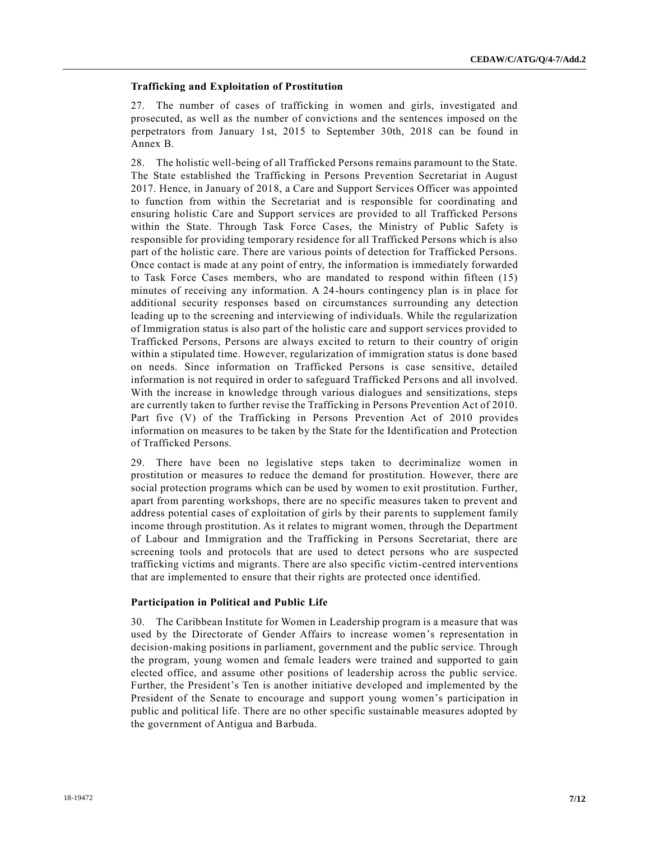#### **Trafficking and Exploitation of Prostitution**

27. The number of cases of trafficking in women and girls, investigated and prosecuted, as well as the number of convictions and the sentences imposed on the perpetrators from January 1st, 2015 to September 30th, 2018 can be found in Annex B.

28. The holistic well-being of all Trafficked Persons remains paramount to the State. The State established the Trafficking in Persons Prevention Secretariat in August 2017. Hence, in January of 2018, a Care and Support Services Officer was appointed to function from within the Secretariat and is responsible for coordinating and ensuring holistic Care and Support services are provided to all Trafficked Persons within the State. Through Task Force Cases, the Ministry of Public Safety is responsible for providing temporary residence for all Trafficked Persons which is also part of the holistic care. There are various points of detection for Trafficked Persons. Once contact is made at any point of entry, the information is immediately forwarded to Task Force Cases members, who are mandated to respond within fifteen (15) minutes of receiving any information. A 24-hours contingency plan is in place for additional security responses based on circumstances surrounding any detection leading up to the screening and interviewing of individuals. While the regularization of Immigration status is also part of the holistic care and support services provided to Trafficked Persons, Persons are always excited to return to their country of origin within a stipulated time. However, regularization of immigration status is done based on needs. Since information on Trafficked Persons is case sensitive, detailed information is not required in order to safeguard Trafficked Persons and all involved. With the increase in knowledge through various dialogues and sensitizations, steps are currently taken to further revise the Trafficking in Persons Prevention Act of 2010. Part five (V) of the Trafficking in Persons Prevention Act of 2010 provides information on measures to be taken by the State for the Identification and Protection of Trafficked Persons.

29. There have been no legislative steps taken to decriminalize women in prostitution or measures to reduce the demand for prostitution. However, there are social protection programs which can be used by women to exit prostitution. Further, apart from parenting workshops, there are no specific measures taken to prevent and address potential cases of exploitation of girls by their parents to supplement family income through prostitution. As it relates to migrant women, through the Department of Labour and Immigration and the Trafficking in Persons Secretariat, there are screening tools and protocols that are used to detect persons who are suspected trafficking victims and migrants. There are also specific victim-centred interventions that are implemented to ensure that their rights are protected once identified.

#### **Participation in Political and Public Life**

30. The Caribbean Institute for Women in Leadership program is a measure that was used by the Directorate of Gender Affairs to increase women's representation in decision-making positions in parliament, government and the public service. Through the program, young women and female leaders were trained and supported to gain elected office, and assume other positions of leadership across the public service. Further, the President's Ten is another initiative developed and implemented by the President of the Senate to encourage and support young women's participation in public and political life. There are no other specific sustainable measures adopted by the government of Antigua and Barbuda.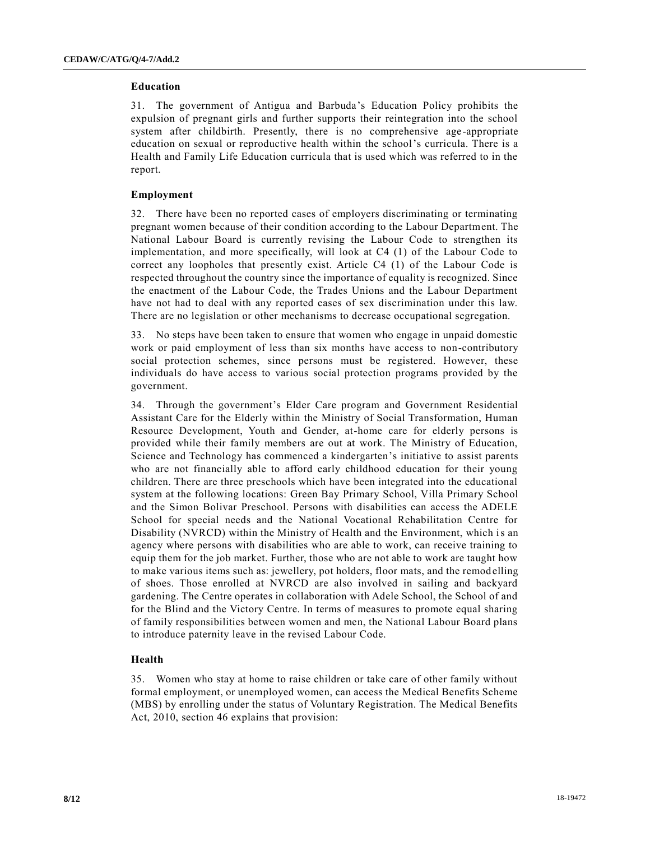#### **Education**

31. The government of Antigua and Barbuda's Education Policy prohibits the expulsion of pregnant girls and further supports their reintegration into the school system after childbirth. Presently, there is no comprehensive age-appropriate education on sexual or reproductive health within the school's curricula. There is a Health and Family Life Education curricula that is used which was referred to in the report.

## **Employment**

32. There have been no reported cases of employers discriminating or terminating pregnant women because of their condition according to the Labour Department. The National Labour Board is currently revising the Labour Code to strengthen its implementation, and more specifically, will look at C4 (1) of the Labour Code to correct any loopholes that presently exist. Article C4 (1) of the Labour Code is respected throughout the country since the importance of equality is recognized. Since the enactment of the Labour Code, the Trades Unions and the Labour Department have not had to deal with any reported cases of sex discrimination under this law. There are no legislation or other mechanisms to decrease occupational segregation.

33. No steps have been taken to ensure that women who engage in unpaid domestic work or paid employment of less than six months have access to non-contributory social protection schemes, since persons must be registered. However, these individuals do have access to various social protection programs provided by the government.

34. Through the government's Elder Care program and Government Residential Assistant Care for the Elderly within the Ministry of Social Transformation, Human Resource Development, Youth and Gender, at-home care for elderly persons is provided while their family members are out at work. The Ministry of Education, Science and Technology has commenced a kindergarten's initiative to assist parents who are not financially able to afford early childhood education for their young children. There are three preschools which have been integrated into the educational system at the following locations: Green Bay Primary School, Villa Primary School and the Simon Bolivar Preschool. Persons with disabilities can access the ADELE School for special needs and the National Vocational Rehabilitation Centre for Disability (NVRCD) within the Ministry of Health and the Environment, which is an agency where persons with disabilities who are able to work, can receive training to equip them for the job market. Further, those who are not able to work are taught how to make various items such as: jewellery, pot holders, floor mats, and the remod elling of shoes. Those enrolled at NVRCD are also involved in sailing and backyard gardening. The Centre operates in collaboration with Adele School, the School of and for the Blind and the Victory Centre. In terms of measures to promote equal sharing of family responsibilities between women and men, the National Labour Board plans to introduce paternity leave in the revised Labour Code.

# **Health**

35. Women who stay at home to raise children or take care of other family without formal employment, or unemployed women, can access the Medical Benefits Scheme (MBS) by enrolling under the status of Voluntary Registration. The Medical Benefits Act, 2010, section 46 explains that provision: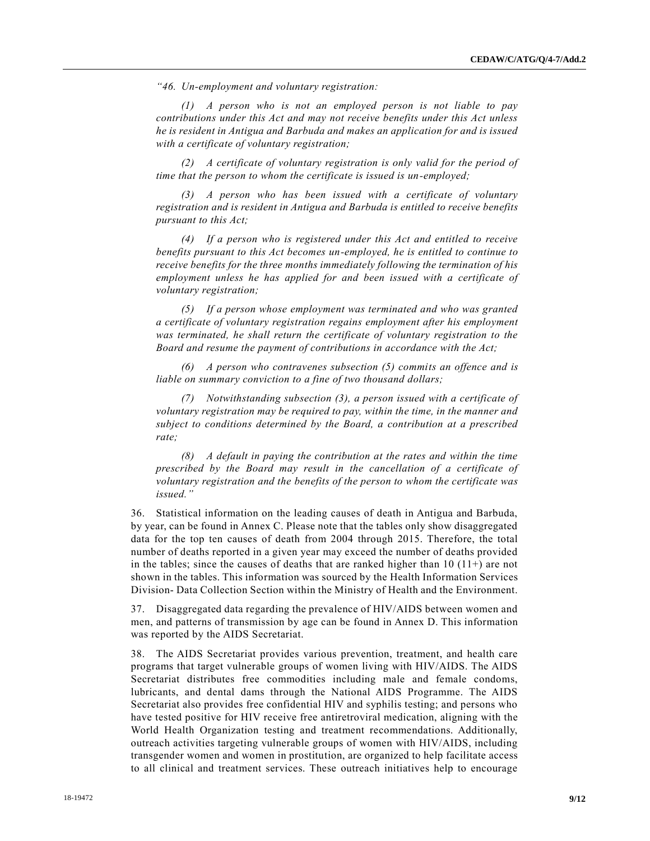*"46. Un-employment and voluntary registration:*

*(1) A person who is not an employed person is not liable to pay contributions under this Act and may not receive benefits under this Act unless he is resident in Antigua and Barbuda and makes an application for and is issued with a certificate of voluntary registration;*

*(2) A certificate of voluntary registration is only valid for the period of time that the person to whom the certificate is issued is un-employed;*

*(3) A person who has been issued with a certificate of voluntary registration and is resident in Antigua and Barbuda is entitled to receive benefits pursuant to this Act;*

*(4) If a person who is registered under this Act and entitled to receive benefits pursuant to this Act becomes un-employed, he is entitled to continue to receive benefits for the three months immediately following the termination of his employment unless he has applied for and been issued with a certificate of voluntary registration;*

*(5) If a person whose employment was terminated and who was granted a certificate of voluntary registration regains employment after his employment was terminated, he shall return the certificate of voluntary registration to the Board and resume the payment of contributions in accordance with the Act;*

*(6) A person who contravenes subsection (5) commits an offence and is liable on summary conviction to a fine of two thousand dollars;*

*(7) Notwithstanding subsection (3), a person issued with a certificate of voluntary registration may be required to pay, within the time, in the manner and subject to conditions determined by the Board, a contribution at a prescribed rate;*

*(8) A default in paying the contribution at the rates and within the time prescribed by the Board may result in the cancellation of a certificate of voluntary registration and the benefits of the person to whom the certificate was issued."*

36. Statistical information on the leading causes of death in Antigua and Barbuda, by year, can be found in Annex C. Please note that the tables only show disaggregated data for the top ten causes of death from 2004 through 2015. Therefore, the total number of deaths reported in a given year may exceed the number of deaths provided in the tables; since the causes of deaths that are ranked higher than  $10$  ( $11+$ ) are not shown in the tables. This information was sourced by the Health Information Services Division- Data Collection Section within the Ministry of Health and the Environment.

37. Disaggregated data regarding the prevalence of HIV/AIDS between women and men, and patterns of transmission by age can be found in Annex D. This information was reported by the AIDS Secretariat.

38. The AIDS Secretariat provides various prevention, treatment, and health care programs that target vulnerable groups of women living with HIV/AIDS. The AIDS Secretariat distributes free commodities including male and female condoms, lubricants, and dental dams through the National AIDS Programme. The AIDS Secretariat also provides free confidential HIV and syphilis testing; and persons who have tested positive for HIV receive free antiretroviral medication, aligning with the World Health Organization testing and treatment recommendations. Additionally, outreach activities targeting vulnerable groups of women with HIV/AIDS, including transgender women and women in prostitution, are organized to help facilitate access to all clinical and treatment services. These outreach initiatives help to encourage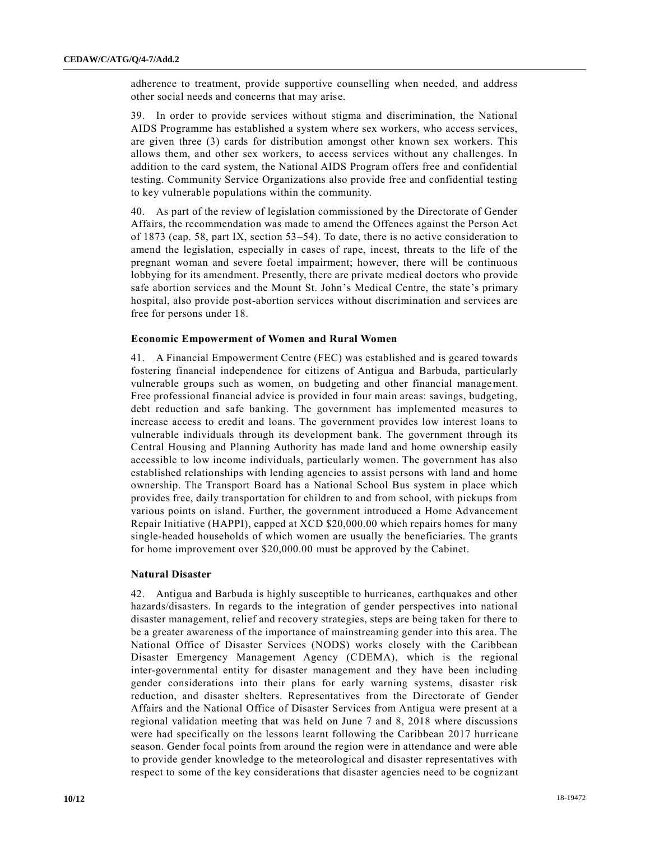adherence to treatment, provide supportive counselling when needed, and address other social needs and concerns that may arise.

39. In order to provide services without stigma and discrimination, the National AIDS Programme has established a system where sex workers, who access services, are given three (3) cards for distribution amongst other known sex workers. This allows them, and other sex workers, to access services without any challenges. In addition to the card system, the National AIDS Program offers free and confidential testing. Community Service Organizations also provide free and confidential testing to key vulnerable populations within the community.

40. As part of the review of legislation commissioned by the Directorate of Gender Affairs, the recommendation was made to amend the Offences against the Person Act of 1873 (cap. 58, part IX, section 53–54). To date, there is no active consideration to amend the legislation, especially in cases of rape, incest, threats to the life of the pregnant woman and severe foetal impairment; however, there will be continuous lobbying for its amendment. Presently, there are private medical doctors who provide safe abortion services and the Mount St. John's Medical Centre, the state's primary hospital, also provide post-abortion services without discrimination and services are free for persons under 18.

#### **Economic Empowerment of Women and Rural Women**

41. A Financial Empowerment Centre (FEC) was established and is geared towards fostering financial independence for citizens of Antigua and Barbuda, particularly vulnerable groups such as women, on budgeting and other financial management. Free professional financial advice is provided in four main areas: savings, budgeting, debt reduction and safe banking. The government has implemented measures to increase access to credit and loans. The government provides low interest loans to vulnerable individuals through its development bank. The government through its Central Housing and Planning Authority has made land and home ownership easily accessible to low income individuals, particularly women. The government has also established relationships with lending agencies to assist persons with land and home ownership. The Transport Board has a National School Bus system in place which provides free, daily transportation for children to and from school, with pickups from various points on island. Further, the government introduced a Home Advancement Repair Initiative (HAPPI), capped at XCD \$20,000.00 which repairs homes for many single-headed households of which women are usually the beneficiaries. The grants for home improvement over \$20,000.00 must be approved by the Cabinet.

#### **Natural Disaster**

42. Antigua and Barbuda is highly susceptible to hurricanes, earthquakes and other hazards/disasters. In regards to the integration of gender perspectives into national disaster management, relief and recovery strategies, steps are being taken for there to be a greater awareness of the importance of mainstreaming gender into this area. The National Office of Disaster Services (NODS) works closely with the Caribbean Disaster Emergency Management Agency (CDEMA), which is the regional inter-governmental entity for disaster management and they have been including gender considerations into their plans for early warning systems, disaster risk reduction, and disaster shelters. Representatives from the Directorate of Gender Affairs and the National Office of Disaster Services from Antigua were present at a regional validation meeting that was held on June 7 and 8, 2018 where discussions were had specifically on the lessons learnt following the Caribbean 2017 hurricane season. Gender focal points from around the region were in attendance and were able to provide gender knowledge to the meteorological and disaster representatives with respect to some of the key considerations that disaster agencies need to be cogniz ant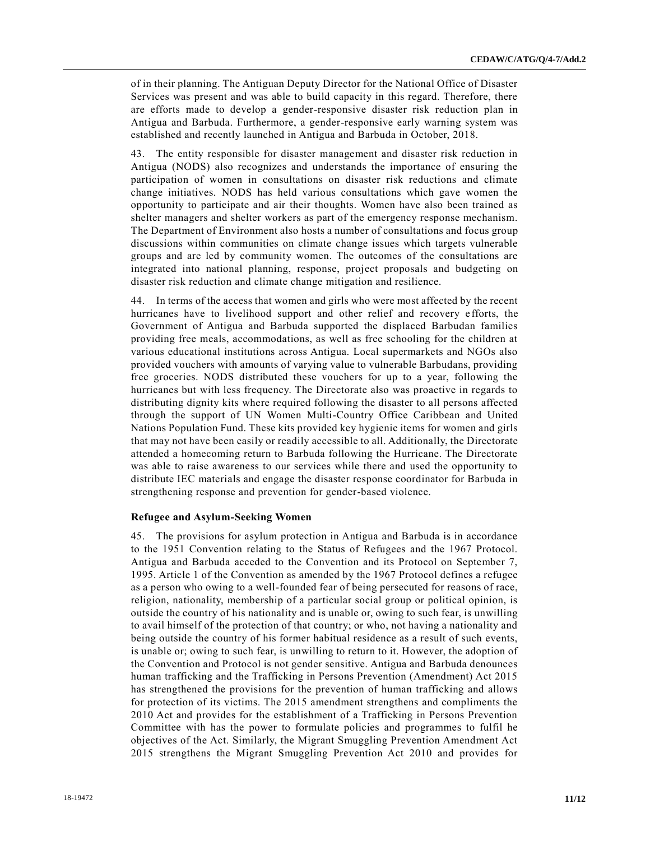of in their planning. The Antiguan Deputy Director for the National Office of Disaster Services was present and was able to build capacity in this regard. Therefore, there are efforts made to develop a gender-responsive disaster risk reduction plan in Antigua and Barbuda. Furthermore, a gender-responsive early warning system was established and recently launched in Antigua and Barbuda in October, 2018.

43. The entity responsible for disaster management and disaster risk reduction in Antigua (NODS) also recognizes and understands the importance of ensuring the participation of women in consultations on disaster risk reductions and climate change initiatives. NODS has held various consultations which gave women the opportunity to participate and air their thoughts. Women have also been trained as shelter managers and shelter workers as part of the emergency response mechanism. The Department of Environment also hosts a number of consultations and focus group discussions within communities on climate change issues which targets vulnerable groups and are led by community women. The outcomes of the consultations are integrated into national planning, response, project proposals and budgeting on disaster risk reduction and climate change mitigation and resilience.

44. In terms of the access that women and girls who were most affected by the recent hurricanes have to livelihood support and other relief and recovery e fforts, the Government of Antigua and Barbuda supported the displaced Barbudan families providing free meals, accommodations, as well as free schooling for the children at various educational institutions across Antigua. Local supermarkets and NGOs also provided vouchers with amounts of varying value to vulnerable Barbudans, providing free groceries. NODS distributed these vouchers for up to a year, following the hurricanes but with less frequency. The Directorate also was proactive in regards to distributing dignity kits where required following the disaster to all persons affected through the support of UN Women Multi-Country Office Caribbean and United Nations Population Fund. These kits provided key hygienic items for women and girls that may not have been easily or readily accessible to all. Additionally, the Directorate attended a homecoming return to Barbuda following the Hurricane. The Directorate was able to raise awareness to our services while there and used the opportunity to distribute IEC materials and engage the disaster response coordinator for Barbuda in strengthening response and prevention for gender-based violence.

#### **Refugee and Asylum-Seeking Women**

45. The provisions for asylum protection in Antigua and Barbuda is in accordance to the 1951 Convention relating to the Status of Refugees and the 1967 Protocol. Antigua and Barbuda acceded to the Convention and its Protocol on September 7, 1995. Article 1 of the Convention as amended by the 1967 Protocol defines a refugee as a person who owing to a well-founded fear of being persecuted for reasons of race, religion, nationality, membership of a particular social group or political opinion, is outside the country of his nationality and is unable or, owing to such fear, is unwilling to avail himself of the protection of that country; or who, not having a nationality and being outside the country of his former habitual residence as a result of such events, is unable or; owing to such fear, is unwilling to return to it. However, the adoption of the Convention and Protocol is not gender sensitive. Antigua and Barbuda denounces human trafficking and the Trafficking in Persons Prevention (Amendment) Act 2015 has strengthened the provisions for the prevention of human trafficking and allows for protection of its victims. The 2015 amendment strengthens and compliments the 2010 Act and provides for the establishment of a Trafficking in Persons Prevention Committee with has the power to formulate policies and programmes to fulfil he objectives of the Act. Similarly, the Migrant Smuggling Prevention Amendment Act 2015 strengthens the Migrant Smuggling Prevention Act 2010 and provides for